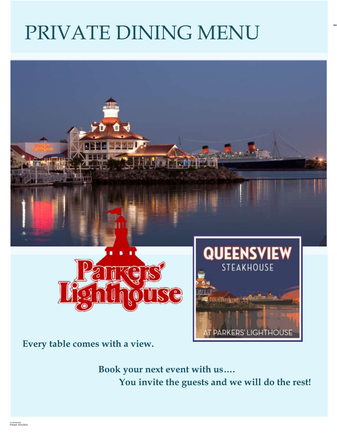# PRIVATE DINING MENU



**Every table comes with a view.**

**Book your next event with us…. You invite the guests and we will do the rest!**

**PARKERS' LIGHTHOUSE** 

**~ 1 ~**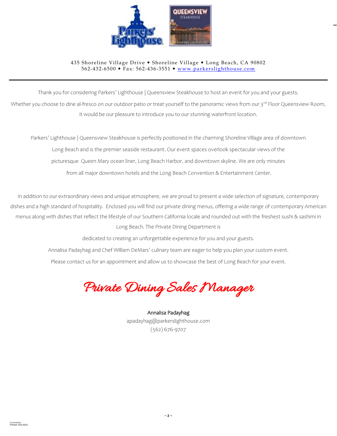

#### 435 Shoreline Village Drive . Shoreline Village . Long Beach, CA 90802 562-432-6500 • Fax: 562-436-3551 • [www.parkerslighthouse.com](http://www.parkerslighthouse.com/)

Thank you for considering Parkers' Lighthouse | Queensview Steakhouse to host an event for you and your guests.

Whether you choose to dine al-fresco on our outdoor patio or treat yourself to the panoramic views from our 3rd Floor Queensview Room, it would be our pleasure to introduce you to our stunning waterfront location.

Parkers' Lighthouse | Queensview Steakhouse is perfectly positioned in the charming Shoreline Village area of downtown Long Beach and is the premier seaside restaurant. Our event spaces overlook spectacular views of the picturesque Queen Mary ocean liner, Long Beach Harbor, and downtown skyline. We are only minutes from all major downtown hotels and the Long Beach Convention & Entertainment Center.

In addition to our extraordinary views and unique atmosphere, we are proud to present a wide selection of signature, contemporary dishes and a high standard of hospitality. Enclosed you will find our private dining menus, offering a wide range of contemporary American menus along with dishes that reflect the lifestyle of our Southern California locale and rounded out with the freshest sushi & sashimi in Long Beach. The Private Dining Department is

dedicated to creating an unforgettable experience for you and your guests.

Annalisa Padayhag and Chef William DeMars' culinary team are eager to help you plan your custom event.

Please contact us for an appointment and allow us to showcase the best of Long Beach for your event.

Private Dining Sales Manager

Annalisa Padayhag apadayhag@parkerslighthouse.com (562) 676-9707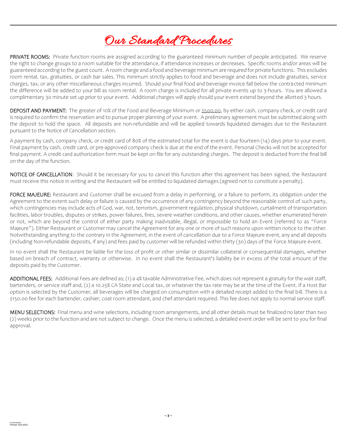## Our Standard Procedures

PRIVATE ROOMS: Private function rooms are assigned according to the guaranteed minimum number of people anticipated. We reserve the right to change groups to a room suitable for the attendance, if attendance increases or decreases. Specific rooms and/or areas will be guaranteed according to the guest count. A room charge and a food and beverage minimum are required for private functions. This excludes room rental, tax, gratuities, or cash bar sales. This minimum strictly applies to food and beverage and does not include gratuities, service charges, tax, or any other miscellaneous charges incurred. Should your final food and beverage invoice fall below the contracted minimum the difference will be added to your bill as room rental. A room charge is included for all private events up to 3-hours. You are allowed a complimentary 30 minute set up prior to your event. Additional charges will apply should your event extend beyond the allotted 3 hours.

DEPOSIT AND PAYMENT: The greater of 10% of the Food and Beverage Minimum or \$500.00, by either cash, company check, or credit card is required to confirm the reservation and to pursue proper planning of your event. A preliminary agreement must be submitted along with the deposit to hold the space. All deposits are non-refundable and will be applied towards liquidated damages due to the Restaurant pursuant to the Notice of Cancellation section.

A payment by cash, company check, or credit card of 80% of the estimated total for the event is due fourteen (14) days prior to your event. Final payment by cash, credit card, or pre-approved company check is due at the end of the event. Personal Checks will not be accepted for final payment. A credit card authorization form must be kept on file for any outstanding charges. The deposit is deducted from the final bill on the day of the function.

NOTICE OF CANCELLATION: Should it be necessary for you to cancel this function after this agreement has been signed, the Restaurant must receive this notice in writing and the Restaurant will be entitled to liquidated damages (agreed not to constitute a penalty).

FORCE MAJEURE: Restaurant and Customer shall be excused from a delay in performing, or a failure to perform, its obligation under the Agreement to the extent such delay or failure is caused by the occurrence of any contingency beyond the reasonable control of such party, which contingencies may include acts of God, war, riot, terrorism, government regulation, physical shutdown, curtailment of transportation facilities, labor troubles, disputes or strikes, power failures, fires, severe weather conditions, and other causes, whether enumerated herein or not, which are beyond the control of either party making inadvisable, illegal, or impossible to hold an Event (referred to as "Force Majeure"). Either Restaurant or Customer may cancel the Agreement for any one or more of such reasons upon written notice to the other. Notwithstanding anything to the contrary in the Agreement, in the event of cancellation due to a Force Majeure event, any and all deposits (including Non-refundable deposits, if any) and fees paid by customer will be refunded within thirty (30) days of the Force Majeure event.

In no event shall the Restaurant be liable for the loss of profit or other similar or dissimilar collateral or consequential damages, whether based on breach of contract, warranty or otherwise. In no event shall the Restaurant's liability be in excess of the total amount of the deposits paid by the Customer.

ADDITIONAL FEES: Additional Fees are defined as; (1) a 4% taxable Administrative Fee, which does not represent a gratuity for the wait staff, bartenders, or service staff and, (2) a 10.25% CA State and Local tax, or whatever the tax rate may be at the time of the Event. If a Host Bar option is selected by the Customer, all beverages will be charged on consumption with a detailed receipt added to the final bill. There is a \$150.00 fee for each bartender, cashier, coat room attendant, and chef attendant required. This fee does not apply to normal service staff.

MENU SELECTIONS: Final menu and wine selections, including room arrangements, and all other details must be finalized no later than two (2) weeks prior to the function and are not subject to change. Once the menu is selected, a detailed event order will be sent to you for final approval.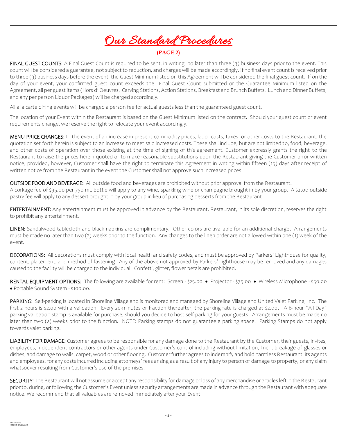## Our Standard Procedures

#### **(PAGE 2)**

FINAL GUEST COUNTS: A Final Guest Count is required to be sent, in writing, no later than three (3) business days prior to the event. This count will be considered a guarantee, not subject to reduction, and charges will be made accordingly. If no final event count is received prior to three (3) business days before the event, the Guest Minimum listed on this Agreement will be considered the final guest count. If on the day of your event, your confirmed guest count exceeds the Final Guest Count submitted or the Guarantee Minimum listed on the Agreement, all per guest items (Hors d' Oeuvres, Carving Stations, Action Stations, Breakfast and Brunch Buffets, Lunch and Dinner Buffets, and any per person Liquor Packages) will be charged accordingly.

All a la carte dining events will be charged a person fee for actual guests less than the guaranteed guest count.

The location of your Event within the Restaurant is based on the Guest Minimum listed on the contract. Should your guest count or event requirements change, we reserve the right to relocate your event accordingly.

MENU PRICE CHANGES: In the event of an increase in present commodity prices, labor costs, taxes, or other costs to the Restaurant, the quotation set forth herein is subject to an increase to meet said increased costs. These shall include, but are not limited to, food, beverage, and other costs of operation over those existing at the time of signing of this agreement. Customer expressly grants the right to the Restaurant to raise the prices herein quoted or to make reasonable substitutions upon the Restaurant giving the Customer prior written notice, provided, however, Customer shall have the right to terminate this Agreement in writing within fifteen (15) days after receipt of written notice from the Restaurant in the event the Customer shall not approve such increased prices.

OUTSIDE FOOD AND BEVERAGE: All outside food and beverages are prohibited without prior approval from the Restaurant.

A corkage fee of \$35.00 per 750 mL bottle will apply to any wine, sparkling wine or champagne brought in by your group. A \$2.00 outside pastry fee will apply to any dessert brought in by your group in-lieu of purchasing desserts from the Restaurant

ENTERTAINMENT: Any entertainment must be approved in advance by the Restaurant. Restaurant, in its sole discretion, reserves the right to prohibit any entertainment.

LINEN: Sandalwood tablecloth and black napkins are complimentary. Other colors are available for an additional charge. Arrangements must be made no later than two (2) weeks prior to the function. Any changes to the linen order are not allowed within one (1) week of the event.

DECORATIONS: All decorations must comply with local health and safety codes, and must be approved by Parkers' Lighthouse for quality, content, placement, and method of fastening. Any of the above not approved by Parkers' Lighthouse may be removed and any damages caused to the facility will be charged to the individual. Confetti, glitter, flower petals are prohibited.

RENTAL EQUIPMENT OPTIONS: The following are available for rent: Screen - \$25.00 · Projector - \$75.00 · Wireless Microphone - \$50.00 Portable Sound System - \$100.00.

PARKING: Self-parking is located in Shoreline Village and is monitored and managed by Shoreline Village and United Valet Parking, Inc. The first 2 hours is \$2.00 with a validation. Every 20-minutes or fraction thereafter, the parking rate is charged at \$2.00. A 6-hour "All Day" parking validation stamp is available for purchase, should you decide to host self-parking for your guests. Arrangements must be made no later than two (2) weeks prior to the function. NOTE: Parking stamps do not guarantee a parking space. Parking Stamps do not apply towards valet parking.

LIABILITY FOR DAMAGE: Customer agrees to be responsible for any damage done to the Restaurant by the Customer, their guests, invites, employees, independent contractors or other agents under Customer's control including without limitation, linen, breakage of glasses or dishes, and damage to walls, carpet, wood or other flooring. Customer further agrees to indemnify and hold harmless Restaurant, its agents and employees, for any costs incurred including attorneys' fees arising as a result of any injury to person or damage to property, or any claim whatsoever resulting from Customer's use of the premises.

SECURITY: The Restaurant will not assume or accept any responsibility for damage or loss of any merchandise or articles left in the Restaurant prior to, during, or following the Customer's Event unless security arrangements are made in advance through the Restaurant with adequate notice. We recommend that all valuables are removed immediately after your Event.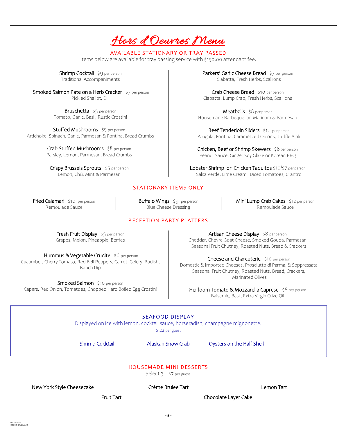### Hors d'Oeuvres Menu

#### AVAILABLE STATIONARY OR TRAY PASSED

Items below are available for tray passing service with \$150.00 attendant fee.

Shrimp Cocktail \$9 per person Traditional Accompaniments

Smoked Salmon Pate on a Herb Cracker \$7 per person Pickled Shallot, Dill

> Bruschetta \$5 per person Tomato, Garlic, Basil, Rustic Crostini

Stuffed Mushrooms \$5 per person Artichoke, Spinach, Garlic, Parmesan & Fontina, Bread Crumbs

> Crab Stuffed Mushrooms \$8 per person Parsley, Lemon, Parmesan, Bread Crumbs

Crispy Brussels Sprouts \$5 per person Lemon, Chili, Mint & Parmesan

Parkers' Garlic Cheese Bread \$7 per person Ciabatta, Fresh Herbs, Scallions

Crab Cheese Bread \$10 per person Ciabatta, Lump Crab, Fresh Herbs, Scallions

Meatballs \$8 per person Housemade Barbeque or Marinara & Parmesan

Beef Tenderloin Sliders \$12 per person Arugula, Fontina, Caramelized Onions, Truffle Aioli

Chicken, Beef or Shrimp Skewers \$8 per person Peanut Sauce, Ginger Soy Glaze or Korean BBQ

Lobster Shrimp or Chicken Taquitos \$10/\$7 per person Salsa Verde, Lime Cream, Diced Tomatoes, Cilantro

#### STATIONARY ITEMS ONLY

Fried Calamari \$10 per person Remoulade Sauce

Buffalo Wings \$9 per person Blue Cheese Dressing

Mini Lump Crab Cakes \$12 per person Remoulade Sauce

RECEPTION PARTY PLATTERS

Fresh Fruit Display \$5 per person Grapes, Melon, Pineapple, Berries

Hummus & Vegetable Crudite \$6 per person Cucumber, Cherry Tomato, Red Bell Peppers, Carrot, Celery, Radish, Ranch Dip

Smoked Salmon \$10 per person Capers, Red Onion, Tomatoes, Chopped Hard Boiled Egg Crostini

Artisan Cheese Display \$8 per person Cheddar, Chevre Goat Cheese, Smoked Gouda, Parmesan Seasonal Fruit Chutney, Roasted Nuts, Bread & Crackers

Cheese and Charcuterie \$10 per person Domestic & Imported Cheeses, Prosciutto di Parma, & Soppressata Seasonal Fruit Chutney, Roasted Nuts, Bread, Crackers, Marinated Olives

Heirloom Tomato & Mozzarella Caprese \$8 per person Balsamic, Basil, Extra Virgin Olive Oil

### SEAFOOD DISPLAY

Displayed on ice with lemon, cocktail sauce, horseradish, champagne mignonette.

\$ 22 per guest

Shrimp Cocktail **Alaskan Snow Crab** Oysters on the Half Shell

### HOUSEMADE MINI DESSERTS

Select 3. \$7 per guest.

New York Style Cheesecake Crème Brulee Tart Lemon Tart

Fruit Tart Chocolate Layer Cake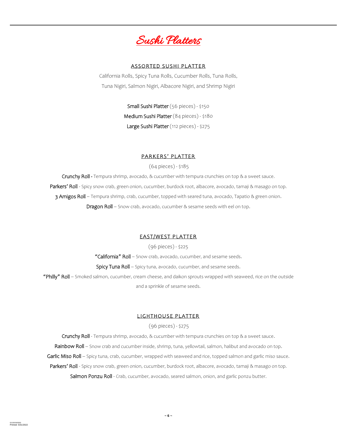

#### **ASSORTED SUSHI PLATTER**

California Rolls, Spicy Tuna Rolls, Cucumber Rolls, Tuna Rolls, Tuna Nigiri, Salmon Nigiri, Albacore Nigiri, and Shrimp Nigiri

> Small Sushi Platter (56 pieces) - \$150 Medium Sushi Platter (84 pieces) - \$180 Large Sushi Platter (112 pieces) - \$275

#### PARKERS' PLATTER

(64 pieces) - \$185

Crunchy Roll - Tempura shrimp, avocado, & cucumber with tempura crunchies on top & a sweet sauce. Parkers' Roll - Spicy snow crab, green onion, cucumber, burdock root, albacore, avocado, tamaji & masago on top. 3 Amigos Roll – Tempura shrimp, crab, cucumber, topped with seared tuna, avocado, Tapatio & green onion. Dragon Roll – Snow crab, avocado, cucumber & sesame seeds with eel on top.

#### EAST/WEST PLATTER

(96 pieces) - \$225

"California" Roll - Snow crab, avocado, cucumber, and sesame seeds. Spicy Tuna Roll - Spicy tuna, avocado, cucumber, and sesame seeds.

"Philly" Roll – Smoked salmon, cucumber, cream cheese, and daikon sprouts wrapped with seaweed, rice on the outside and a sprinkle of sesame seeds.

#### LIGHTHOUSE PLATTER

#### (96 pieces) - \$275

Crunchy Roll - Tempura shrimp, avocado, & cucumber with tempura crunchies on top & a sweet sauce.

Rainbow Roll - Snow crab and cucumber inside, shrimp, tuna, yellowtail, salmon, halibut and avocado on top.

Garlic Miso Roll - Spicy tuna, crab, cucumber, wrapped with seaweed and rice, topped salmon and garlic miso sauce.

Parkers' Roll - Spicy snow crab, green onion, cucumber, burdock root, albacore, avocado, tamaji & masago on top. Salmon Ponzu Roll - Crab, cucumber, avocado, seared salmon, onion, and garlic ponzu butter.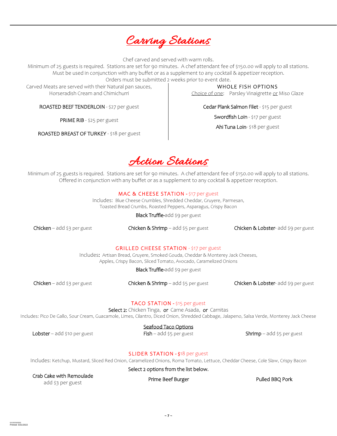

Chef carved and served with warm rolls.

Minimum of 25 guests is required. Stations are set for 90 minutes. A chef attendant fee of \$150.00 will apply to all stations. Must be used in conjunction with any buffet or as a supplement to any cocktail & appetizer reception. Orders must be submitted 2 weeks prior to event date.

Carved Meats are served with their Natural pan sauces, Horseradish Cream and Chimichurri

ROASTED BEEF TENDERLOIN - \$27 per guest

PRIME RIB - \$25 per guest

ROASTED BREAST OF TURKEY - \$18 per guest

WHOLE FISH OPTIONS Choice of one: Parsley Vinaigrette or Miso Glaze

Cedar Plank Salmon Filet - \$15 per guest

Swordfish Loin - \$17 per guest

Ahi Tuna Loin- \$18 per guest

Action Stations

Minimum of 25 guests is required. Stations are set for 90 minutes. A chef attendant fee of \$150.00 will apply to all stations. Offered in conjunction with any buffet or as a supplement to any cocktail & appetizer reception.

#### MAC & CHEESE STATION - \$17 per guest

Includes: Blue Cheese Crumbles, Shredded Cheddar, Gruyere, Parmesan, Toasted Bread Crumbs, Roasted Peppers, Asparagus, Crispy Bacon

Black Truffle-add \$9 per guest

Chicken – add \$3 per guest Chicken & Shrimp – add \$5 per guest Chicken & Lobster- add \$9 per guest

#### GRILLED CHEESE STATION - \$17 per guest

Includes: Artisan Bread, Gruyere, Smoked Gouda, Cheddar & Monterey Jack Cheeses, Apples, Crispy Bacon, Sliced Tomato, Avocado, Caramelized Onions

Black Truffle-add \$9 per guest

Chicken – add \$3 per guest Chicken & Shrimp – add \$5 per guest Chicken & Lobster- add \$9 per guest

#### TACO STATION - \$15 per guest

Select 2: Chicken Tinga, or Carne Asada, or Carnitas

Includes: Pico De Gallo, Sour Cream, Guacamole, Limes, Cilantro, Diced Onion, Shredded Cabbage, Jalapeno, Salsa Verde, Monterey Jack Cheese

#### Seafood Taco Options

Lobster – add \$10 per guest Fish – add \$5 per guest Shrimp – add \$5 per guest Shrimp – add \$5 per guest

#### SLIDER STATION - \$18 per guest

Includes: Ketchup, Mustard, Sliced Red Onion, Caramelized Onions, Roma Tomato, Lettuce, Cheddar Cheese, Cole Slaw, Crispy Bacon

Select 2 options from the list below.

Crab Cake with Remoulade

add \$3 per guest

Prime Beef Burger Pulled BBQ Pork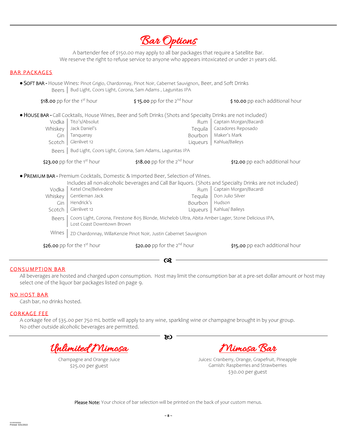Bar Options

A bartender fee of \$150.00 may apply to all bar packages that require a Satellite Bar. We reserve the right to refuse service to anyone who appears intoxicated or under 21 years old.

#### BAR PACKAGES

**SOFT BAR -** House Wines: Pinot Grigio, Chardonnay, Pinot Noir, Cabernet Sauvignon, Beer, and Soft Drinks Beers | Bud Light, Coors Light, Corona, Sam Adams, Lagunitas IPA

| \$18.00 pp for the $1st$ hour              |                                                                                                                                 | $$15.00$ pp for the 2 <sup>nd</sup> hour                                                                                                                                                                                              | \$10.00 pp each additional hour                                                |  |  |
|--------------------------------------------|---------------------------------------------------------------------------------------------------------------------------------|---------------------------------------------------------------------------------------------------------------------------------------------------------------------------------------------------------------------------------------|--------------------------------------------------------------------------------|--|--|
| Vodka<br>Whiskey<br>Gin<br>Scotch<br>Beers | Tito's/Absolut<br>Jack Daniel's<br>Tangueray<br>Glenlivet 12                                                                    | . HOUSE BAR - Call Cocktails, House Wines, Beer and Soft Drinks (Shots and Specialty Drinks are not included)<br>Rum<br>Tequila<br>Bourbon<br>Liqueurs<br>Bud Light, Coors Light, Corona, Sam Adams, Lagunitas IPA                    | Captain Morgan/Bacardi<br>Cazadores Reposado<br>Maker's Mark<br>Kahlua/Baileys |  |  |
| \$23.00 pp for the $1st$ hour              |                                                                                                                                 | \$18.00 pp for the $2^{nd}$ hour                                                                                                                                                                                                      | \$12.00 pp each additional hour                                                |  |  |
| Vodka<br>Whiskey<br>Gin<br>Scotch          | Ketel One/Belvedere<br>Gentleman Jack<br>Hendrick's<br>Glenlivet 12                                                             | · PREMIUM BAR - Premium Cocktails, Domestic & Imported Beer, Selection of Wines.<br>Includes all non-alcoholic beverages and Call Bar liquors. (Shots and Specialty Drinks are not included)<br>Rum<br>Tequila<br>Bourbon<br>Ligueurs | Captain Morgan/Bacardi<br>Don Julio Silver<br>Hudson<br>Kahlua/ Baileys        |  |  |
| Beers                                      | Coors Light, Corona, Firestone 805 Blonde, Michelob Ultra, Abita Amber Lager, Stone Delicious IPA,<br>Lost Coast Downtown Brown |                                                                                                                                                                                                                                       |                                                                                |  |  |
| Wines                                      | ZD Chardonnay, WillaKenzie Pinot Noir, Justin Cabernet Sauvignon                                                                |                                                                                                                                                                                                                                       |                                                                                |  |  |
|                                            | \$26.00 pp for the $1st$ hour                                                                                                   | \$20.00 pp for the $2^{nd}$ hour<br>Œ                                                                                                                                                                                                 | \$15.00 pp each additional hour                                                |  |  |

#### **CONSUMPTION BAR**

All beverages are hosted and charged upon consumption. Host may limit the consumption bar at a pre-set dollar amount or host may select one of the liquor bar packages listed on page 9.

#### NO HOST BAR

Cash bar, no drinks hosted.

#### CORKAGE FEE

A corkage fee of \$35.00 per 750 mL bottle will apply to any wine, sparkling wine or champagne brought in by your group. No other outside alcoholic beverages are permitted.

Unlimited Mimosa

Champagne and Orange Juice \$25.00 per guest

Mimosa Bar

Juices: Cranberry, Orange, Grapefruit, Pineapple Garnish: Raspberries and Strawberries \$30.00 per guest

Please Note: Your choice of bar selection will be printed on the back of your custom menus.

80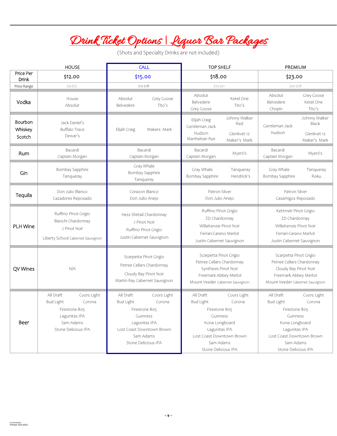## Drink Ticket Options | Liquor Bar Packages

(Shots and Specialty Drinks are not included)

| <b>HOUSE</b>                 |                                                                                                                              | <b>CALL</b>                                                                                                                                                           | <b>TOP SHELF</b>                                                                                                                                                                        | PREMIUM                                                                                                                                                                                 |  |
|------------------------------|------------------------------------------------------------------------------------------------------------------------------|-----------------------------------------------------------------------------------------------------------------------------------------------------------------------|-----------------------------------------------------------------------------------------------------------------------------------------------------------------------------------------|-----------------------------------------------------------------------------------------------------------------------------------------------------------------------------------------|--|
| Price Per<br><b>Drink</b>    | \$12.00                                                                                                                      | \$15.00                                                                                                                                                               | \$18.00                                                                                                                                                                                 | \$23.00                                                                                                                                                                                 |  |
| Price Range                  | $$9 - $15$                                                                                                                   | $$12-$18$                                                                                                                                                             | $$15 - $21$                                                                                                                                                                             | \$20-\$28                                                                                                                                                                               |  |
| Vodka                        | House<br>Absolut                                                                                                             | Grey Goose<br>Absolut<br>Belvedere<br>Tito's                                                                                                                          | Absolut<br>Ketel One<br>Belvedere<br>Tito's<br>Grey Goose                                                                                                                               | Grey Goose<br>Absolut<br>Belvedere<br>Ketel One<br>Tito's<br>Chopin                                                                                                                     |  |
| Bourbon<br>Whiskey<br>Scotch | Jack Daniel's<br><b>Buffalo Trace</b><br>Dewar's                                                                             | Elijah Craig<br>Makers Mark                                                                                                                                           | Johnny Walker<br>Elijah Craig<br>Red<br>Gentleman Jack<br>Hudson<br>Glenlivet 12<br>Manhattan Rye<br>Maker's Mark                                                                       | Johnny Walker<br>Black<br>Gentleman Jack<br>Hudson<br>Glenlivet 12<br>Maker's Mark                                                                                                      |  |
| Rum                          | Bacardi<br>Captain Morgan                                                                                                    | Bacardi<br>Captain Morgan                                                                                                                                             | Bacardi<br>Myers's<br>Captain Morgan                                                                                                                                                    | Bacardi<br>Myers's<br>Captain Morgan                                                                                                                                                    |  |
| Gin                          | Bombay Sapphire<br>Tanqueray                                                                                                 | Gray Whale<br>Bombay Sapphire<br>Tanqueray                                                                                                                            | Gray Whale<br>Tanqueray<br>Bombay Sapphire<br>Hendrick's                                                                                                                                | Gray Whale<br>Tangueray<br>Bombay Sapphire<br>Roku                                                                                                                                      |  |
| Tequila                      | Don Julio Blanco<br>Cazadores Reposado                                                                                       | Corazon Blanco<br>Don Julio Anejo                                                                                                                                     | Patron Silver<br>Don Julio Anejo                                                                                                                                                        | Patron Silver<br>Casamigos Reposado                                                                                                                                                     |  |
| PLH Wine                     | Ruffino Pinot Grigio<br>Bianchi Chardonnay<br>J Pinot Noir<br>Liberty School Cabernet Sauvignon                              | Hess Shirtail Chardonnay<br>J Pinot Noir<br>Ruffino Pinot Grigio<br>Justin Cabernet Sauvignon                                                                         | Ruffino Pinot Grigio<br>ZD Chardonnay<br>WillaKenzie Pinot Noir<br>Ferrari-Carano Merlot<br>Justin Cabernet Sauvignon                                                                   | Kettmeir Pinot Grigio<br>ZD Chardonnay<br>WillaKenzie Pinot Noir<br>Ferrari-Carano Merlot<br>Justin Cabernet Sauvignon                                                                  |  |
| QV Wines                     | N/A                                                                                                                          | Scarpetta Pinot Grigio<br>Petree Cellars Chardonnay<br>Cloudy Bay Pinot Noir<br>Martin Ray Cabernet Sauvignon                                                         | Scarpetta Pinot Grigio<br>Petree Cellars Chardonnay<br>Synthesis Pinot Noir<br>Freemark Abbey Merlot<br>Mount Veeder Cabernet Sauvignon                                                 | Scarpetta Pinot Grigio<br>Petree Cellars Chardonnay<br>Cloudy Bay Pinot Noir<br>Freemark Abbey Merlot<br>Mount Veeder Cabernet Sauvignon                                                |  |
| Beer                         | All Draft<br>Coors Light<br><b>Bud Light</b><br>Corona<br>Firestone 805<br>Lagunitas IPA<br>Sam Adams<br>Stone Delicious IPA | All Draft<br>Coors Light<br><b>Bud Light</b><br>Corona<br>Firestone 805<br>Guinness<br>Lagunitas IPA<br>Lost Coast Downtown Brown<br>Sam Adams<br>Stone Delicious IPA | All Draft<br>Coors Light<br><b>Bud Light</b><br>Corona<br>Firestone 805<br>Guinness<br>Kona Longboard<br>Lagunitas IPA<br>Lost Coast Downtown Brown<br>Sam Adams<br>Stone Delicious IPA | All Draft<br>Coors Light<br><b>Bud Light</b><br>Corona<br>Firestone 805<br>Guinness<br>Kona Longboard<br>Lagunitas IPA<br>Lost Coast Downtown Brown<br>Sam Adams<br>Stone Delicious IPA |  |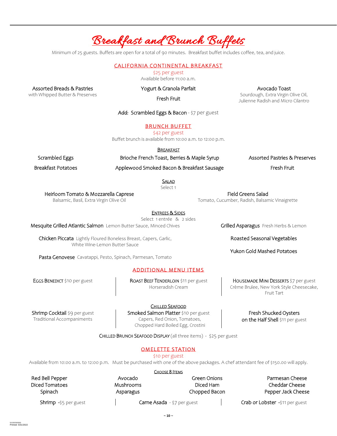### Breakfast and Brunch Buffets

Minimum of 25 guests. Buffets are open for a total of 90 minutes. Breakfast buffet includes coffee, tea, and juice.

#### CALIFORNIA CONTINENTAL BREAKFAST

\$25 per guest

Available before 11:00 a.m.

Assorted Breads & Pastries

with Whipped Butter & Preserves

#### Yogurt & Granola Parfait Fresh Fruit

Avocado Toast

Sourdough, Extra Virgin Olive Oil, Julienne Radish and Micro Cilantro

Add: Scrambled Eggs & Bacon - \$7 per guest

#### BRUNCH BUFFET

\$42 per guest

Buffet brunch is available from 10:00 a.m. to 12:00 p.m.

BREAKFAST Brioche French Toast, Berries & Maple Syrup

Scrambled Eggs Breakfast Potatoes

Applewood Smoked Bacon & Breakfast Sausage

Assorted Pastries & Preserves Fresh Fruit

Heirloom Tomato & Mozzarella Caprese

Balsamic, Basil, Extra Virgin Olive Oil

ENTREES & SIDES

Select 1 entrée & 2 sides

Mesquite Grilled Atlantic Salmon Lemon Butter Sauce, Minced Chives

Chicken Piccata Lightly Floured Boneless Breast, Capers, Garlic, White Wine-Lemon Butter Sauce

Pasta Genovese Cavatappi, Pesto, Spinach, Parmesan, Tomato

#### ADDITIONAL MENU ITEMS

EGGS BENEDICT \$10 per guest

ROAST BEEF TENDERLOIN \$11 per guest Horseradish Cream

Shrimp Cocktail \$9 per guest Traditional Accompaniments

CHILLED SEAFOOD

Smoked Salmon Platter \$10 per guest Capers, Red Onion, Tomatoes, Chopped Hard Boiled Egg, Crostini

Fresh Shucked Oysters

on the Half Shell \$11 per guest

CHILLED BRUNCH SEAFOOD DISPLAY (all three items) - \$25 per guest

#### OMELETTE STATION

\$10 per guest

Available from 10:00 a.m. to 12:00 p.m. Must be purchased with one of the above packages. A chef attendant fee of \$150.00 will apply.

|                       |           | CHOOSE 8 ITEMS              |                                 |
|-----------------------|-----------|-----------------------------|---------------------------------|
| Red Bell Pepper       | Avocado   | Green Onions                | Parmesan Cheese                 |
| Diced Tomatoes        | Mushrooms | Diced Ham                   | Cheddar Cheese                  |
| Spinach               | Asparagus | Chopped Bacon               | Pepper Jack Cheese              |
| Shrimp -\$5 per guest |           | Carne Asada - \$7 per guest | Crab or Lobster -\$11 per guest |

**~ 10 ~**

Yukon Gold Mashed Potatoes

Grilled Asparagus Fresh Herbs & Lemon

Roasted Seasonal Vegetables

HOUSEMADE MINI DESSERTS \$7 per guest Crème Brulee, New York Style Cheesecake, Fruit Tart

**SALAD** Select 1

Field Greens Salad Tomato, Cucumber, Radish, Balsamic Vinaigrette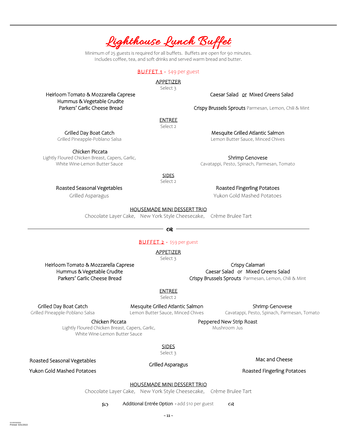Grilled Day Boat Catch Grilled Pineapple-Poblano Salsa

Chicken Piccata Lightly Floured Chicken Breast, Capers, Garlic, White Wine-Lemon Butter Sauce

> Roasted Seasonal Vegetables Grilled Asparagus

Roasted Fingerling Potatoes

Yukon Gold Mashed Potatoes

HOUSEMADE MINI DESSERT TRIO

**SIDES** Select<sub>2</sub>

Chocolate Layer Cake, New York Style Cheesecake, Crème Brulee Tart

BUFFET 2 - \$59 per guest

APPETIZER

Select 3

Heirloom Tomato & Mozzarella Caprese Hummus & Vegetable Crudite Parkers' Garlic Cheese Bread

Crispy Calamari Caesar Salad or Mixed Greens Salad Crispy Brussels Sprouts Parmesan, Lemon, Chili & Mint

Peppered New Strip Roast Mushroom Jus

ENTREE

Select 2

Grilled Day Boat Catch

Grilled Pineapple-Poblano Salsa

Roasted Seasonal Vegetables

53.02020/0303 Printed: 5/31/2022

Mesquite Grilled Atlantic Salmon Lemon Butter Sauce, Minced Chives

Chicken Piccata

Lightly Floured Chicken Breast, Capers, Garlic, White Wine-Lemon Butter Sauce

Shrimp Genovese Cavatappi, Pesto, Spinach, Parmesan, Tomato

Mac and Cheese

Yukon Gold Mashed Potatoes Roasted Fingerling Potatoes

#### HOUSEMADE MINI DESSERT TRIO

SIDES Select 3

Chocolate Layer Cake, New York Style Cheesecake, Crème Brulee Tart

80 Additional Entrée Option - add \$10 per guest as

Grilled Asparagus

Shrimp Genovese Cavatappi, Pesto, Spinach, Parmesan, Tomato

Mesquite Grilled Atlantic Salmon Lemon Butter Sauce, Minced Chives

Caesar Salad or Mixed Greens Salad

Crispy Brussels Sprouts Parmesan, Lemon, Chili & Mint

ENTREE Select 2

Heirloom Tomato & Mozzarella Caprese Hummus & Vegetable Crudite Parkers' Garlic Cheese Bread

## Lighthouse Lunch Buffet

Minimum of 25 guests is required for all buffets. Buffets are open for 90 minutes. Includes coffee, tea, and soft drinks and served warm bread and butter.

> BUFFET 1 - \$49 per guest APPETIZER Select 3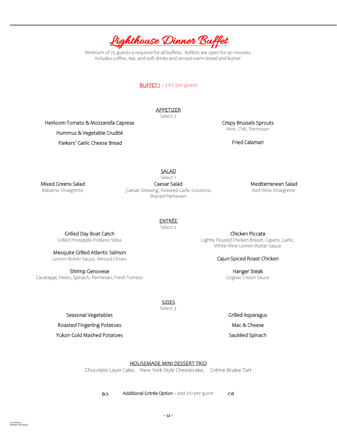

Minimum of 25 guests is required for all buffets. Buffets are open for 90 minutes. Includes coffee, tea, and soft drinks and served warm bread and butter.

#### BUFFET I - \$ 67 per guest

APPETIZER Select 2

Heirloom Tomato & Mozzarella Caprese Hummus & Vegetable Crudité Parkers' Garlic Cheese Bread

Crispy Brussels Sprouts Mint, Chili, Parmesan

Fried Calamari

SALAD

Mixed Greens Salad Balsamic Vinaigrette

Select 1 Caesar Salad Caesar Dressing, Roasted Garlic Croutons, Shaved Parmesan

Mediterranean Salad

Red Wine Vinaigrette

ENTRÉE

Select 2

Grilled Day Boat Catch Grilled Pineapple-Poblano Salsa

Mesquite Grilled Atlantic Salmon

Lemon Butter Sauce, Minced Chives

Shrimp Genovese Cavatappi, Pesto, Spinach, Parmesan, Fresh Tomato

Chicken Piccata Lightly Floured Chicken Breast, Capers, Garlic, White Wine-Lemon Butter Sauce

#### Cajun-Spiced Roast Chicken

Hanger Steak Cognac Cream Sauce

Seasonal Vegetables

Roasted Fingerling Potatoes

Yukon Gold Mashed Potatoes

#### HOUSEMADE MINI DESSERT TRIO

**SIDES** Select 3

Chocolate Layer Cake, New York Style Cheesecake, Crème Brulee Tart

 $\infty$  Additional Entrée Option - add \$10 per guest as

53.02020/0303 Printed: 5/31/2022

Grilled Asparagus Mac & Cheese

Sautéed Spinach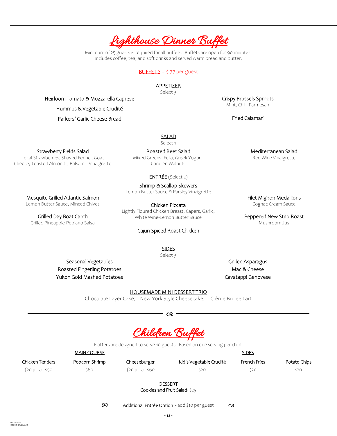

Minimum of 25 guests is required for all buffets. Buffets are open for 90 minutes. Includes coffee, tea, and soft drinks and served warm bread and butter.

#### BUFFET 2 - \$77 per guest

#### APPETIZER

Select 3

Heirloom Tomato & Mozzarella Caprese Hummus & Vegetable Crudité

Parkers' Garlic Cheese Bread

#### SALAD Select 1

Strawberry Fields Salad

Local Strawberries, Shaved Fennel, Goat Cheese, Toasted Almonds, Balsamic Vinaigrette

> Mesquite Grilled Atlantic Salmon Lemon Butter Sauce, Minced Chives

Grilled Day Boat Catch Grilled Pineapple-Poblano Salsa

Roasted Beet Salad Mixed Greens, Feta, Greek Yogurt, Candied Walnuts

#### ENTRÉE (Select 2)

#### Shrimp & Scallop Skewers

Lemon Butter Sauce & Parsley Vinaigrette

Chicken Piccata Lightly Floured Chicken Breast, Capers, Garlic, White Wine-Lemon Butter Sauce

#### Cajun-Spiced Roast Chicken

SIDES Select 3

Seasonal Vegetables Roasted Fingerling Potatoes Yukon Gold Mashed Potatoes

Grilled Asparagus Mac & Cheese Cavatappi Genovese

#### HOUSEMADE MINI DESSERT TRIO

Chocolate Layer Cake, New York Style Cheesecake, Crème Brulee Tart

 $\infty$  –  $\infty$  –  $\infty$  –  $\infty$  –  $\infty$  –  $\infty$ 

Children Buffet

Platters are designed to serve 10 guests. Based on one serving per child.

Chicken Tenders

Popcorn Shrimp \$60

MAIN COURSE

Cheeseburger (20 pcs) - \$60 Kid's Vegetable Crudité \$20

SIDES French Fries

Potato Chips

(20 pcs) - \$50

\$20

\$20

DESSERT Cookies and Fruit Salad- \$25

 $\infty$  Additional Entrée Option - add \$10 per guest  $\infty$ 

Crispy Brussels Sprouts Mint, Chili, Parmesan

Fried Calamari

Mediterranean Salad Red Wine Vinaigrette

Filet Mignon Medallions Cognac Cream Sauce

Peppered New Strip Roast Mushroom Jus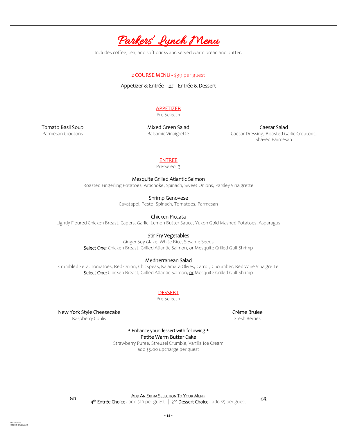

#### 2 COURSE MENU - \$39 per guest

Appetizer & Entrée or Entrée & Dessert

### **APPETIZER**

Pre-Select 1

Tomato Basil Soup Parmesan Croutons

Mixed Green Salad Balsamic Vinaigrette

Caesar Salad Caesar Dressing, Roasted Garlic Croutons, Shaved Parmesan

#### ENTREE

Pre-Select 3

Mesquite Grilled Atlantic Salmon

Roasted Fingerling Potatoes, Artichoke, Spinach, Sweet Onions, Parsley Vinaigrette

Shrimp Genovese

Cavatappi, Pesto, Spinach, Tomatoes, Parmesan

Chicken Piccata

Lightly Floured Chicken Breast, Capers, Garlic, Lemon Butter Sauce, Yukon Gold Mashed Potatoes, Asparagus

#### Stir Fry Vegetables

Ginger Soy Glaze, White Rice, Sesame Seeds Select One: Chicken Breast, Grilled Atlantic Salmon, or Mesquite Grilled Gulf Shrimp

#### Mediterranean Salad

Crumbled Feta, Tomatoes, Red Onion, Chickpeas, Kalamata Olives, Carrot, Cucumber, Red Wine Vinaigrette Select One: Chicken Breast, Grilled Atlantic Salmon, or Mesquite Grilled Gulf Shrimp

**DESSERT** 

Pre-Select 1

New York Style Cheesecake

Raspberry Coulis

Crème Brulee Fresh Berries

• Enhance your dessert with following • Petite Warm Butter Cake

Strawberry Puree, Streusel Crumble, Vanilla Ice Cream add \$5.00 upcharge per guest

**ADD AN EXTRA SELECTION TO YOUR MENU** 

AN ENTRA SELECTION TO TOOR MENO<br>4<sup>th</sup> Entrée Choice - add \$10 per guest | 2<sup>nd</sup> Dessert Choice - add \$5 per guest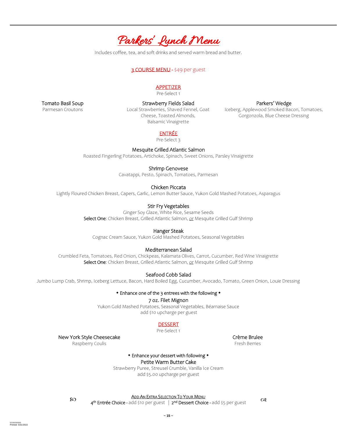

#### 3 COURSE MENU - \$49 per guest

#### APPETIZER

Pre-Select 1

Tomato Basil Soup

Parmesan Croutons

Strawberry Fields Salad Local Strawberries, Shaved Fennel, Goat Cheese, Toasted Almonds, Balsamic Vinaigrette

Parkers' Wedge

Iceberg, Applewood Smoked Bacon, Tomatoes, Gorgonzola, Blue Cheese Dressing

#### ENTRÉE

Pre-Select 3

#### Mesquite Grilled Atlantic Salmon

Roasted Fingerling Potatoes, Artichoke, Spinach, Sweet Onions, Parsley Vinaigrette

#### Shrimp Genovese

Cavatappi, Pesto, Spinach, Tomatoes, Parmesan

#### Chicken Piccata

Lightly Floured Chicken Breast, Capers, Garlic, Lemon Butter Sauce, Yukon Gold Mashed Potatoes, Asparagus

#### Stir Fry Vegetables

Ginger Soy Glaze, White Rice, Sesame Seeds Select One: Chicken Breast, Grilled Atlantic Salmon, or Mesquite Grilled Gulf Shrimp

#### Hanger Steak

Cognac Cream Sauce, Yukon Gold Mashed Potatoes, Seasonal Vegetables

#### Mediterranean Salad

Crumbled Feta, Tomatoes, Red Onion, Chickpeas, Kalamata Olives, Carrot, Cucumber, Red Wine Vinaigrette Select One: Chicken Breast, Grilled Atlantic Salmon, or Mesquite Grilled Gulf Shrimp

Seafood Cobb Salad

Jumbo Lump Crab, Shrimp, Iceberg Lettuce, Bacon, Hard Boiled Egg, Cucumber, Avocado, Tomato, Green Onion, Louie Dressing

#### \* Enhance one of the 3 entrees with the following \*

#### 7 oz. Filet Mignon

Yukon Gold Mashed Potatoes, Seasonal Vegetables, Béarnaise Sauce add \$10 upcharge per guest

#### DESSERT

Pre-Select 1

New York Style Cheesecake

Raspberry Coulis

#### \* Enhance your dessert with following \* Petite Warm Butter Cake

Strawberry Puree, Streusel Crumble, Vanilla Ice Cream add \$5.00 upcharge per guest

ADD AN EXTRA SELECTION TO YOUR MENU 4<sup>th</sup> Entrée Choice - add \$10 per guest | 2<sup>nd</sup> Dessert Choice - add \$5 per guest (  $\alpha$ 

Crème Brulee Fresh Berries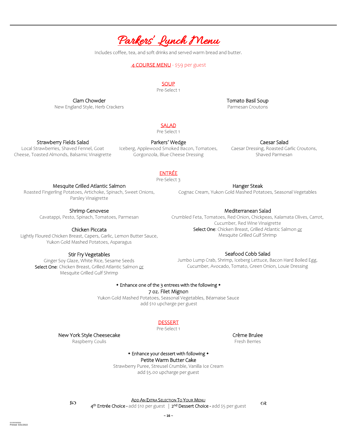

#### 4 COURSE MENU - \$59 per guest

#### **SOUP**

Pre-Select 1

Tomato Basil Soup Parmesan Croutons

#### SALAD

Pre Select 1

#### Strawberry Fields Salad

Local Strawberries, Shaved Fennel, Goat Cheese, Toasted Almonds, Balsamic Vinaigrette

Parkers' Wedge Iceberg, Applewood Smoked Bacon, Tomatoes, Gorgonzola, Blue Cheese Dressing

#### Caesar Salad

Caesar Dressing, Roasted Garlic Croutons, Shaved Parmesan

### ENTRÉE

Pre-Select 3

#### Mesquite Grilled Atlantic Salmon

Clam Chowder New England Style, Herb Crackers

Roasted Fingerling Potatoes, Artichoke, Spinach, Sweet Onions, Parsley Vinaigrette

Shrimp Genovese

Cavatappi, Pesto, Spinach, Tomatoes, Parmesan

#### Chicken Piccata

Lightly Floured Chicken Breast, Capers, Garlic, Lemon Butter Sauce, Yukon Gold Mashed Potatoes, Asparagus

#### Stir Fry Vegetables

Ginger Soy Glaze, White Rice, Sesame Seeds Select One: Chicken Breast, Grilled Atlantic Salmon or Mesquite Grilled Gulf Shrimp

Mediterranean Salad

Hanger Steak Cognac Cream, Yukon Gold Mashed Potatoes, Seasonal Vegetables

Crumbled Feta, Tomatoes, Red Onion, Chickpeas, Kalamata Olives, Carrot, Cucumber, Red Wine Vinaigrette Select One: Chicken Breast, Grilled Atlantic Salmon or Mesquite Grilled Gulf Shrimp

#### Seafood Cobb Salad

Jumbo Lump Crab, Shrimp, Iceberg Lettuce, Bacon Hard Boiled Egg, Cucumber, Avocado, Tomato, Green Onion, Louie Dressing

#### \* Enhance one of the 3 entrees with the following \*

7 oz. Filet Mignon

Yukon Gold Mashed Potatoes, Seasonal Vegetables, Béarnaise Sauce add \$10 upcharge per guest

#### DESSERT

Pre-Select 1

#### New York Style Cheesecake

Raspberry Coulis

• Enhance your dessert with following • Petite Warm Butter Cake

Strawberry Puree, Streusel Crumble, Vanilla Ice Cream add \$5.00 upcharge per guest

53.02020/0303 Printed: 5/31/2022

ADD AN EXTRA SELECTION TO YOUR MENU 4<sup>th</sup> Entrée Choice - add \$10 per guest | 2<sup>nd</sup> Dessert Choice - add \$5 per guest (  $\alpha$ 

Crème Brulee

Fresh Berries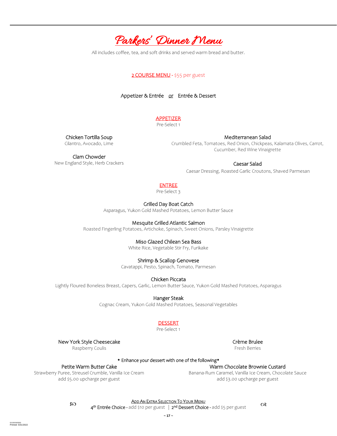

#### 2 COURSE MENU - \$55 per guest

Appetizer & Entrée or Entrée & Dessert

### **APPETIZER**

Pre-Select 1

Chicken Tortilla Soup Cilantro, Avocado, Lime

Mediterranean Salad Crumbled Feta, Tomatoes, Red Onion, Chickpeas, Kalamata Olives, Carrot, Cucumber, Red Wine Vinaigrette

Clam Chowder New England Style, Herb Crackers

#### Caesar Salad

Caesar Dressing, Roasted Garlic Croutons, Shaved Parmesan

#### ENTREE

Pre-Select 3

Grilled Day Boat Catch

Asparagus, Yukon Gold Mashed Potatoes, Lemon Butter Sauce

#### Mesquite Grilled Atlantic Salmon

Roasted Fingerling Potatoes, Artichoke, Spinach, Sweet Onions, Parsley Vinaigrette

#### Miso Glazed Chilean Sea Bass

White Rice, Vegetable Stir Fry, Furikake

#### Shrimp & Scallop Genovese

Cavatappi, Pesto, Spinach, Tomato, Parmesan

#### Chicken Piccata

Lightly Floured Boneless Breast, Capers, Garlic, Lemon Butter Sauce, Yukon Gold Mashed Potatoes, Asparagus

Hanger Steak

Cognac Cream, Yukon Gold Mashed Potatoes, Seasonal Vegetables

#### DESSERT

Pre-Select 1

New York Style Cheesecake

Raspberry Coulis

#### Crème Brulee

\* Enhance your dessert with one of the following\*

### Petite Warm Butter Cake

Strawberry Puree, Streusel Crumble, Vanilla Ice Cream add \$5.00 upcharge per guest

#### Warm Chocolate Brownie Custard Banana-Rum Caramel, Vanilla Ice Cream, Chocolate Sauce add \$3.00 upcharge per guest

53.02020/0303 Printed: 5/31/2022

Fresh Berries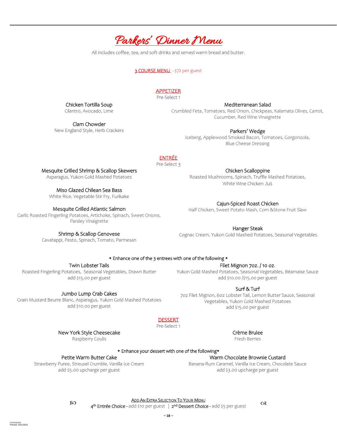

#### 3 COURSE MENU - \$72 per guest

#### APPETIZER

Pre-Select 1

Mediterranean Salad Crumbled Feta, Tomatoes, Red Onion, Chickpeas, Kalamata Olives, Carrot, Cucumber, Red Wine Vinaigrette

Parkers' Wedge Iceberg, Applewood Smoked Bacon, Tomatoes, Gorgonzola,

Blue Cheese Dressing

#### ENTRÉE

Pre-Select 3

#### Mesquite Grilled Shrimp & Scallop Skewers

Chicken Tortilla Soup Cilantro, Avocado, Lime

Clam Chowder New England Style, Herb Crackers

Asparagus, Yukon Gold Mashed Potatoes

Miso Glazed Chilean Sea Bass

White Rice, Vegetable Stir Fry, Furikake

#### Mesquite Grilled Atlantic Salmon

Garlic Roasted Fingerling Potatoes, Artichoke, Spinach, Sweet Onions, Parsley Vinaigrette

Shrimp & Scallop Genovese

Cavatappi, Pesto, Spinach, Tomato, Parmesan

Chicken Scalloppine Roasted Mushrooms, Spinach, Truffle Mashed Potatoes, White Wine Chicken Jus

Cajun-Spiced Roast Chicken Half Chicken, Sweet Potato Mash, Corn &Stone Fruit Slaw

Hanger Steak Cognac Cream, Yukon Gold Mashed Potatoes, Seasonal Vegetables

Twin Lobster Tails

Roasted Fingerling Potatoes, Seasonal Vegetables, Drawn Butter add \$15.00 per guest

#### Jumbo Lump Crab Cakes

Grain Mustard Beurre Blanc, Asparagus, Yukon Gold Mashed Potatoes add \$10.00 per guest

> New York Style Cheesecake Raspberry Coulis

#### • Enhance one of the 3 entrees with one of the following •

#### Filet Mignon 7oz. / 10 oz.

Yukon Gold Mashed Potatoes, Seasonal Vegetables, Béarnaise Sauce add \$10.00 /\$15.00 per guest

Surf & Turf

7oz Filet Mignon, 6oz Lobster Tail, Lemon Butter Sauce, Seasonal Vegetables, Yukon Gold Mashed Potatoes add \$15.00 per guest

DESSERT

Pre-Select 1

Crème Brulee

Fresh Berries

Warm Chocolate Brownie Custard Banana-Rum Caramel, Vanilla Ice Cream, Chocolate Sauce add \$3.00 upcharge per guest

#### \* Enhance your dessert with one of the following\*

#### Petite Warm Butter Cake

Strawberry Puree, Streusel Crumble, Vanilla Ice Cream add \$5.00 upcharge per guest

53.02020/0303 Printed: 5/31/2022

ADD AN EXTRA SELECTION TO YOUR MENU 4<sup>th</sup> Entrée Choice - add \$10 per guest | 2<sup>nd</sup> Dessert Choice - add \$5 per guest (  $\alpha$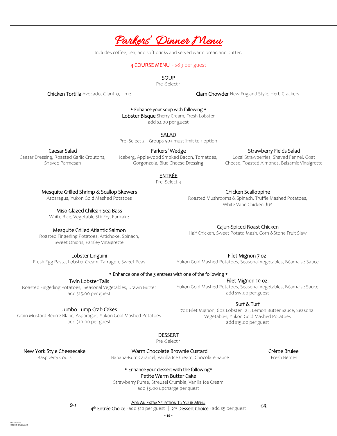

#### 4 COURSE MENU - \$89 per guest

SOUP

Pre -Select 1

Chicken Tortilla Avocado, Cilantro, Lime Cham Cham Chowder New England Style, Herb Crackers

\* Enhance your soup with following \*

Lobster Bisque Sherry Cream, Fresh Lobster

add \$2.00 per guest

SALAD

Pre -Select 2 | Groups 50+ must limit to 1 option

#### Caesar Salad

Caesar Dressing, Roasted Garlic Croutons, Shaved Parmesan

Parkers' Wedge Iceberg, Applewood Smoked Bacon, Tomatoes, Gorgonzola, Blue Cheese Dressing

#### Strawberry Fields Salad

Local Strawberries, Shaved Fennel, Goat Cheese, Toasted Almonds, Balsamic Vinaigrette

### ENTRÉE

Pre -Select 3

#### Mesquite Grilled Shrimp & Scallop Skewers

Asparagus, Yukon Gold Mashed Potatoes

#### Miso Glazed Chilean Sea Bass

White Rice, Vegetable Stir Fry, Furikake

#### Mesquite Grilled Atlantic Salmon

Roasted Fingerling Potatoes, Artichoke, Spinach, Sweet Onions, Parsley Vinaigrette

Lobster Linguini

Fresh Egg Pasta, Lobster Cream, Tarragon, Sweet Peas

Chicken Scalloppine Roasted Mushrooms & Spinach, Truffle Mashed Potatoes, White Wine Chicken Jus

#### Cajun-Spiced Roast Chicken

Half Chicken, Sweet Potato Mash, Corn &Stone Fruit Slaw

Filet Mignon 7 oz.

Yukon Gold Mashed Potatoes, Seasonal Vegetables, Béarnaise Sauce

Filet Mignon 10 oz. Yukon Gold Mashed Potatoes, Seasonal Vegetables, Béarnaise Sauce add \$15.00 per guest

#### • Enhance one of the 3 entrees with one of the following •

Twin Lobster Tails

Roasted Fingerling Potatoes, Seasonal Vegetables, Drawn Butter add \$15.00 per guest

Jumbo Lump Crab Cakes Grain Mustard Beurre Blanc, Asparagus, Yukon Gold Mashed Potatoes add \$10.00 per guest

#### Surf & Turf

7oz Filet Mignon, 6oz Lobster Tail, Lemon Butter Sauce, Seasonal Vegetables, Yukon Gold Mashed Potatoes add \$15.00 per guest

#### DESSERT

Pre -Select 1

New York Style Cheesecake

Raspberry Coulis

53.02020/0303 Printed: 5/31/2022

Warm Chocolate Brownie Custard

Banana-Rum Caramel, Vanilla Ice Cream, Chocolate Sauce

Crème Brulee Fresh Berries

\* Enhance your dessert with the following\*

Petite Warm Butter Cake

Strawberry Puree, Streusel Crumble, Vanilla Ice Cream add \$5.00 upcharge per guest

ADD AN EXTRA SELECTION TO YOUR MENU 4<sup>th</sup> Entrée Choice - add \$10 per guest | 2<sup>nd</sup> Dessert Choice - add \$5 per guest (38 Me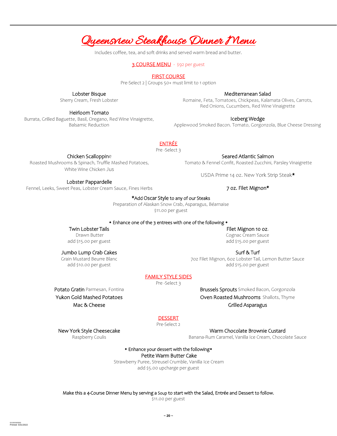### Queensview Steakhouse Dinner Menu

Includes coffee, tea, and soft drinks and served warm bread and butter.

#### 3 COURSE MENU - \$92 per guest

#### FIRST COURSE

Pre-Select 2 | Groups 50+ must limit to 1 option

#### Lobster Bisque

Sherry Cream, Fresh Lobster

#### Heirloom Tomato

Burrata, Grilled Baguette, Basil, Oregano, Red Wine Vinaigrette, Balsamic Reduction

#### Mediterranean Salad

Romaine, Feta, Tomatoes, Chickpeas, Kalamata Olives, Carrots, Red Onions, Cucumbers, Red Wine Vinaigrette

#### Iceberg Wedge

Applewood Smoked Bacon. Tomato, Gorgonzola, Blue Cheese Dressing

#### ENTRÉE

Pre -Select 3

Chicken Scalloppine

Roasted Mushrooms & Spinach, Truffle Mashed Potatoes, White Wine Chicken Jus

Seared Atlantic Salmon Tomato & Fennel Confit, Roasted Zucchini, Parsley Vinaigrette

USDA Prime 14 oz. New York Strip Steak\*

7 oz. Filet Mignon\*

Lobster Pappardelle

Fennel, Leeks, Sweet Peas, Lobster Cream Sauce, Fines Herbs

\*Add Oscar Style to any of our Steaks

Preparation of Alaskan Snow Crab, Asparagus, Béarnaise \$11.00 per guest

#### \* Enhance one of the 3 entrees with one of the following \*

Twin Lobster Tails Drawn Butter add \$15.00 per guest

Jumbo Lump Crab Cakes Grain Mustard Beurre Blanc add \$10.00 per guest

7oz Filet Mignon, 6oz Lobster Tail, Lemon Butter Sauce add \$15.00 per guest

Brussels Sprouts Smoked Bacon, Gorgonzola Oven Roasted Mushrooms Shallots, Thyme

#### FAMILY STYLE SIDES

Pre -Select 3

Potato Gratin Parmesan, Fontina Yukon Gold Mashed Potatoes Mac & Cheese

New York Style Cheesecake Raspberry Coulis

#### **DESSERT**

Pre-Select 2

Warm Chocolate Brownie Custard

Banana-Rum Caramel, Vanilla Ice Cream, Chocolate Sauce

\* Enhance your dessert with the following\* Petite Warm Butter Cake

Strawberry Puree, Streusel Crumble, Vanilla Ice Cream add \$5.00 upcharge per guest

Make this a 4-Course Dinner Menu by serving a Soup to start with the Salad, Entrée and Dessert to follow.

\$11.00 per guest

**~ 20 ~**

#### Filet Mignon 10 oz. Cognac Cream Sauce

add \$15.00 per guest

#### Surf & Turf

Grilled Asparagus